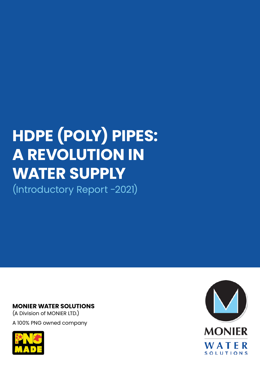# **HDPE (POLY) PIPES: A REVOLUTION IN WATER SUPPLY**  (Introductory Report -2021)

### **MONIER WATER SOLUTIONS**

(A Division of MONIER LTD.) A 100% PNG owned company



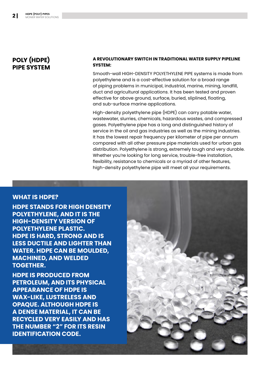# **POLY (HDPE) PIPE SYSTEM**

#### **A REVOLUTIONARY SWITCH IN TRADITIONAL WATER SUPPLY PIPELINE SYSTEM:**

Smooth-wall HIGH-DENSITY POLYETHYLENE PIPE systems is made from polyethylene and is a cost-effective solution for a broad range of piping problems in municipal, industrial, marine, mining, landfill, duct and agricultural applications. It has been tested and proven effective for above ground, surface, buried, sliplined, floating, and sub-surface marine applications.

High-density polyethylene pipe (HDPE) can carry potable water, wastewater, slurries, chemicals, hazardous wastes, and compressed gases. Polyethylene pipe has a long and distinguished history of service in the oil and gas industries as well as the mining industries. It has the lowest repair frequency per kilometer of pipe per annum compared with all other pressure pipe materials used for urban gas distribution. Polyethylene is strong, extremely tough and very durable. Whether you're looking for long service, trouble-free installation, flexibility, resistance to chemicals or a myriad of other features, high-density polyethylene pipe will meet all your requirements.

#### **WHAT IS HDPE?**

**HDPE STANDS FOR HIGH DENSITY POLYETHYLENE, AND IT IS THE HIGH-DENSITY VERSION OF POLYETHYLENE PLASTIC. HDPE IS HARD, STRONG AND IS LESS DUCTILE AND LIGHTER THAN WATER. HDPE CAN BE MOULDED, MACHINED, AND WELDED TOGETHER.** 

**HDPE IS PRODUCED FROM PETROLEUM, AND ITS PHYSICAL APPEARANCE OF HDPE IS WAX-LIKE, LUSTRELESS AND OPAQUE. ALTHOUGH HDPE IS A DENSE MATERIAL, IT CAN BE RECYCLED VERY EASILY AND HAS THE NUMBER "2" FOR ITS RESIN IDENTIFICATION CODE.**

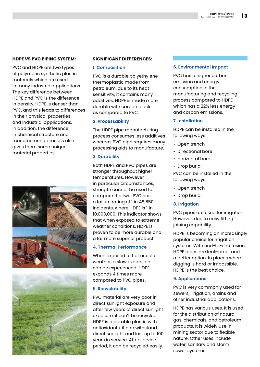#### **HDPE VS PVC PIPING SYSTEM:**

PVC and HDPE are two types of polymeric synthetic plastic materials which are used in many industrial applications. The key difference between HDPE and PVC is the difference in density. HDPE is denser than PVC, and this leads to differences in their physical properties and industrial applications. In addition, the difference in chemical structure and manufacturing process also gives them some unique material properties.





#### **SIGNIFICANT DIFFERENCES:**

#### **1. Composition**

PVC is a durable polyethylene thermoplastic made from petroleum, due to its heat sensitivity, it contains many additives. HDPE is made more durable with carbon black as compared to PVC.

#### **2. Processability**

The HDPE pipe manufacturing process consumes less additives whereas PVC pipe requires many processing aids to manufacture.

#### **3. Durability**

Both HDPE and PVC pipes are stronger throughout higher temperatures. However, in particular circumstances, strength cannot be used to compare the two. PVC has a failure rating of 1 in 48,650 incidents, where HDPE is 1 in 10,000,000. This indicator shows that when exposed to extreme weather conditions, HDPE is proven to be more durable and a far more superior product.

#### **4. Thermal Performance**

When exposed to hot or cold weather, a slow expansion can be experienced. HDPE expands 4 times more compared to PVC pipes.

#### **5. Recyclability**

PVC material are very poor in direct sunlight exposure and after few years of direct sunlight exposure, it can't be recycled. HDPE is a durable plastic with antioxidants, it can withstand direct sunlight and last up to 100 years in service. After service period, it can be recycled easily.

#### **6. Environmental Impact**

PVC has a higher carbon emission and energy consumption in the manufacturing and recycling process compared to HDPE which has a 22% less energy and carbon emissions.

#### **7. Installation**

HDPE can be installed in the following ways:

- Open trench
- Directional bore
- Horizontal bore
- Drop burial

PVC can be installed in the following ways:

- Open trench
- Drop burial

#### **8. Irrigation**

PVC pipes are used for irrigation. However, due to easy fitting joining capability.

HDPE is becoming an increasingly popular choice for irrigation systems. With end-to-end fusion, HDPE pipes are leak-proof and a better option. In places where digging is hard or impossible, HDPE is the best choice.

#### **9. Applications**

PVC is very commonly used for sewers, irrigation, drains and other industrial applications.

HDPE has various uses. It is used for the distribution of natural gas, chemicals, and petroleum products. It is widely use in mining sector due to flexible nature. Other uses include water, sanitary and storm sewer systems.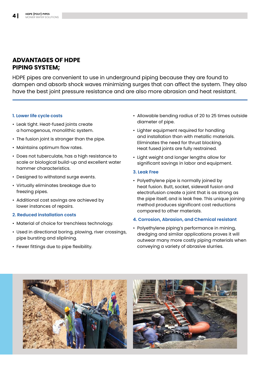## **ADVANTAGES OF HDPE PIPING SYSTEM;**

HDPE pipes are convenient to use in underground piping because they are found to dampen and absorb shock waves minimizing surges that can affect the system. They also have the best joint pressure resistance and are also more abrasion and heat resistant.

#### **1. Lower life cycle costs**

- Leak tight. Heat-fused joints create a homogenous, monolithic system.
- The fusion joint is stronger than the pipe.
- Maintains optimum flow rates.
- Does not tuberculate, has a high resistance to scale or biological build-up and excellent water hammer characteristics.
- Designed to withstand surge events.
- Virtually eliminates breakage due to freezing pipes.
- Additional cost savings are achieved by lower instances of repairs.

#### **2. Reduced installation costs**

- Material of choice for trenchless technology.
- Used in directional boring, plowing, river crossings, pipe bursting and sliplining.
- Fewer fittings due to pipe flexibility.
- Allowable bending radius of 20 to 25 times outside diameter of pipe.
- Lighter equipment required for handling and installation than with metallic materials. Eliminates the need for thrust blocking. Heat fused joints are fully restrained.
- Light weight and longer lengths allow for significant savings in labor and equipment.

#### **3. Leak Free**

• Polyethylene pipe is normally joined by heat fusion. Butt, socket, sidewall fusion and electrofusion create a joint that is as strong as the pipe itself, and is leak free. This unique joining method produces significant cost reductions compared to other materials.

#### **4. Corrosion, Abrasion, and Chemical resistant**

• Polyethylene piping's performance in mining, dredging and similar applications proves it will outwear many more costly piping materials when conveying a variety of abrasive slurries.



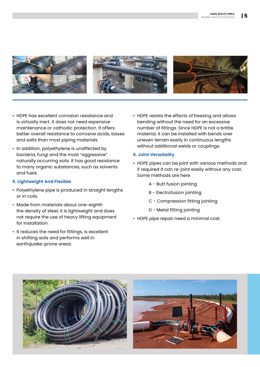

- HDPE has excellent corrosion resistance and is virtually inert. It does not need expensive maintenance or cathodic protection. It offers better overall resistance to corrosive acids, bases and salts than most piping materials.
- In addition, polyethylene is unaffected by bacteria, fungi and the most "aggressive" naturally occurring soils. It has good resistance to many organic substances, such as solvents and fuels.

#### **5. Lightweight And Flexible**

- Polyethylene pipe is produced in straight lengths or in coils.
- Made from materials about one-eighth the density of steel, it is lightweight and does not require the use of heavy lifting equipment for installation.
- It reduces the need for fittings, is excellent in shifting soils and performs well in earthquake-prone areas.

• HDPE resists the effects of freezing and allows bending without the need for an excessive number of fittings. Since HDPE is not a brittle material, it can be installed with bends over uneven terrain easily in continuous lengths without additional welds or couplings.

#### **6. Joint Versatality**

- HDPE pipes can be joint with various methods and if required it can re-joint easily without any cost. Some methods are here
	- A Butt fusion jointing
	- B Electrofusion jointing
	- C Compression fitting jointing
	- D Metal fitting jointing
- HDPE pipe repair need a minimal cost.



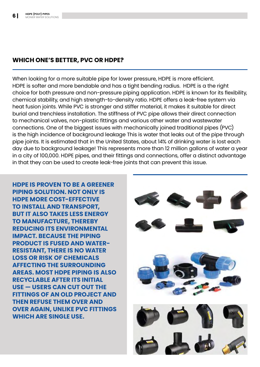# **WHICH ONE'S BETTER, PVC OR HDPE?**

When looking for a more suitable pipe for lower pressure, HDPE is more efficient. HDPE is softer and more bendable and has a tight bending radius. HDPE is a the right choice for both pressure and non-pressure piping application. HDPE is known for its flexibility, chemical stability, and high strength-to-density ratio. HDPE offers a leak-free system via heat fusion joints. While PVC is stronger and stiffer material, it makes it suitable for direct burial and trenchless installation. The stiffness of PVC pipe allows their direct connection to mechanical valves, non-plastic fittings and various other water and wastewater connections. One of the biggest issues with mechanically joined traditional pipes (PVC) is the high incidence of background leakage This is water that leaks out of the pipe through pipe joints. It is estimated that in the United States, about 14% of drinking water is lost each day due to background leakage! This represents more than 12 million gallons of water a year in a city of 100,000. HDPE pipes, and their fittings and connections, offer a distinct advantage in that they can be used to create leak-free joints that can prevent this issue.

**HDPE IS PROVEN TO BE A GREENER PIPING SOLUTION. NOT ONLY IS HDPE MORE COST-EFFECTIVE TO INSTALL AND TRANSPORT, BUT IT ALSO TAKES LESS ENERGY TO MANUFACTURE, THEREBY REDUCING ITS ENVIRONMENTAL IMPACT. BECAUSE THE PIPING PRODUCT IS FUSED AND WATER-RESISTANT, THERE IS NO WATER LOSS OR RISK OF CHEMICALS AFFECTING THE SURROUNDING AREAS. MOST HDPE PIPING IS ALSO RECYCLABLE AFTER ITS INITIAL USE — USERS CAN CUT OUT THE FITTINGS OF AN OLD PROJECT AND THEN REFUSE THEM OVER AND OVER AGAIN, UNLIKE PVC FITTINGS WHICH ARE SINGLE USE.**

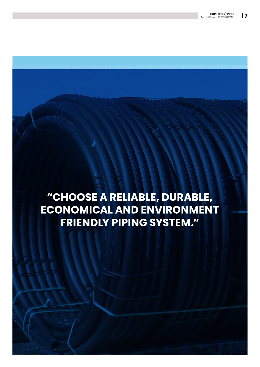# "CHOOSE A RELIABLE, DURABLE, **ECONOMICAL AND ENVIRONMENT FRIENDLY PIPING SYSTEM."**